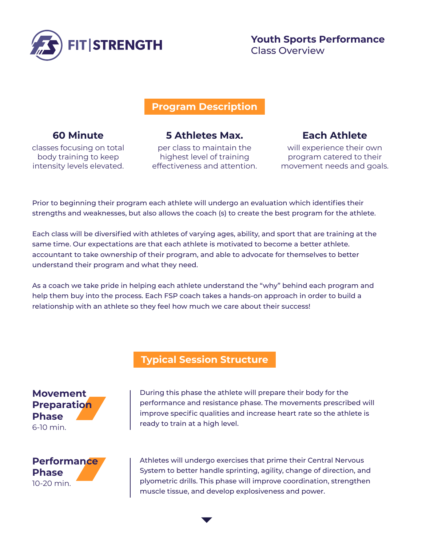

#### **Program Description**

#### **60 Minute**

classes focusing on total body training to keep intensity levels elevated.

### **5 Athletes Max.**

per class to maintain the highest level of training effectiveness and attention.

# **Each Athlete**

will experience their own program catered to their movement needs and goals.

Prior to beginning their program each athlete will undergo an evaluation which identifies their strengths and weaknesses, but also allows the coach (s) to create the best program for the athlete.

Each class will be diversified with athletes of varying ages, ability, and sport that are training at the same time. Our expectations are that each athlete is motivated to become a better athlete. accountant to take ownership of their program, and able to advocate for themselves to better understand their program and what they need.

As a coach we take pride in helping each athlete understand the "why" behind each program and help them buy into the process. Each FSP coach takes a hands-on approach in order to build a relationship with an athlete so they feel how much we care about their success!

## **Typical Session Structure**

**Movement Preparation Phase** 6-10 min.



During this phase the athlete will prepare their body for the performance and resistance phase. The movements prescribed will improve specific qualities and increase heart rate so the athlete is ready to train at a high level.

Athletes will undergo exercises that prime their Central Nervous System to better handle sprinting, agility, change of direction, and plyometric drills. This phase will improve coordination, strengthen muscle tissue, and develop explosiveness and power.